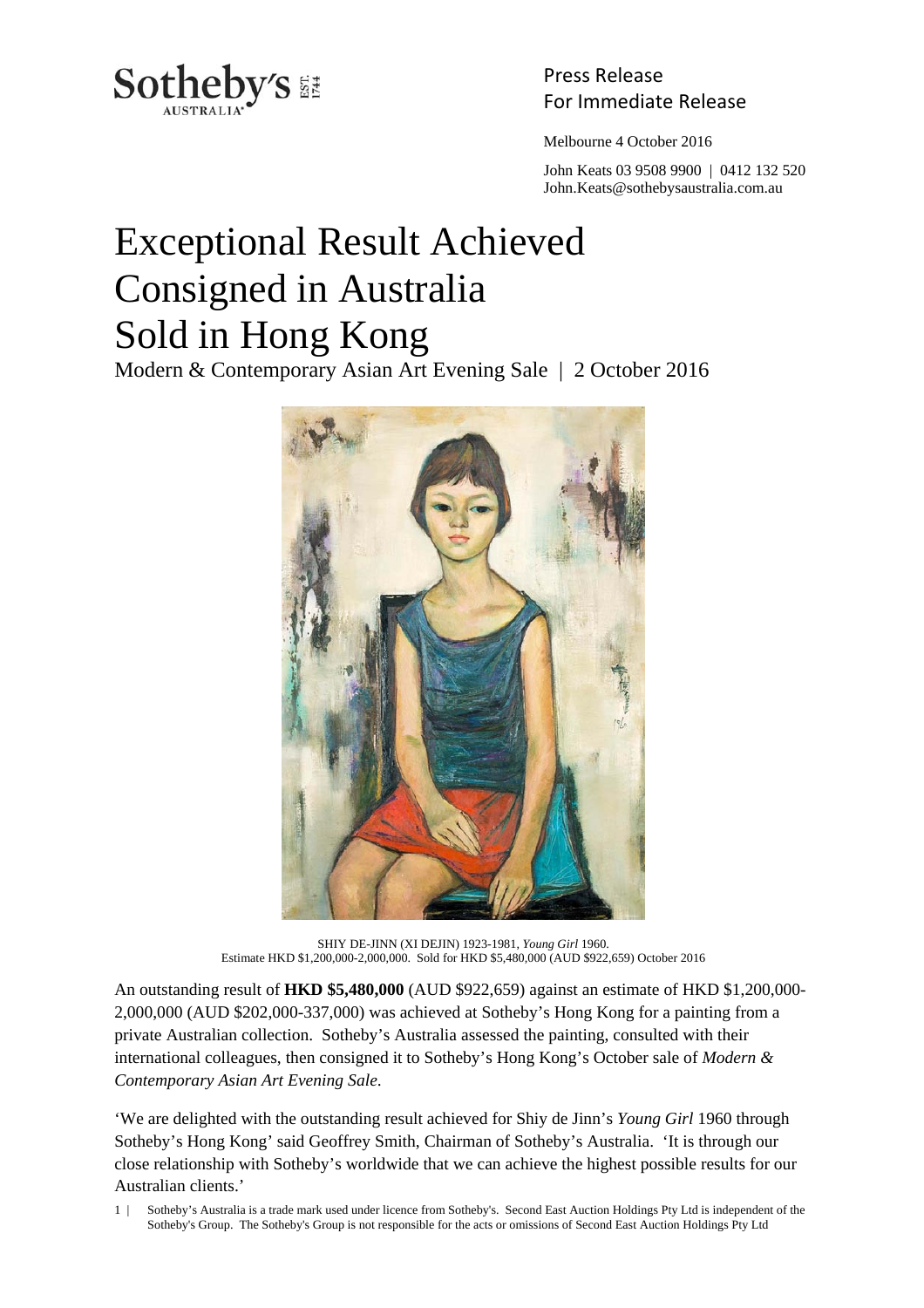

Press Release

Melbourne 4 October 2016

 John Keats 03 9508 9900 | 0412 132 520 John.Keats@sothebysaustralia.com.au

## Exceptional Result Achieved Consigned in Australia Sold in Hong Kong

Modern & Contemporary Asian Art Evening Sale | 2 October 2016



SHIY DE-JINN (XI DEJIN) 1923-1981, *Young Girl* 1960. Estimate HKD \$1,200,000-2,000,000. Sold for HKD \$5,480,000 (AUD \$922,659) October 2016

An outstanding result of **HKD \$5,480,000** (AUD \$922,659) against an estimate of HKD \$1,200,000- 2,000,000 (AUD \$202,000-337,000) was achieved at Sotheby's Hong Kong for a painting from a private Australian collection. Sotheby's Australia assessed the painting, consulted with their international colleagues, then consigned it to Sotheby's Hong Kong's October sale of *Modern & Contemporary Asian Art Evening Sale*.

'We are delighted with the outstanding result achieved for Shiy de Jinn's *Young Girl* 1960 through Sotheby's Hong Kong' said Geoffrey Smith, Chairman of Sotheby's Australia. 'It is through our close relationship with Sotheby's worldwide that we can achieve the highest possible results for our Australian clients.'

1 | Sotheby's Australia is a trade mark used under licence from Sotheby's. Second East Auction Holdings Pty Ltd is independent of the Sotheby's Group. The Sotheby's Group is not responsible for the acts or omissions of Second East Auction Holdings Pty Ltd